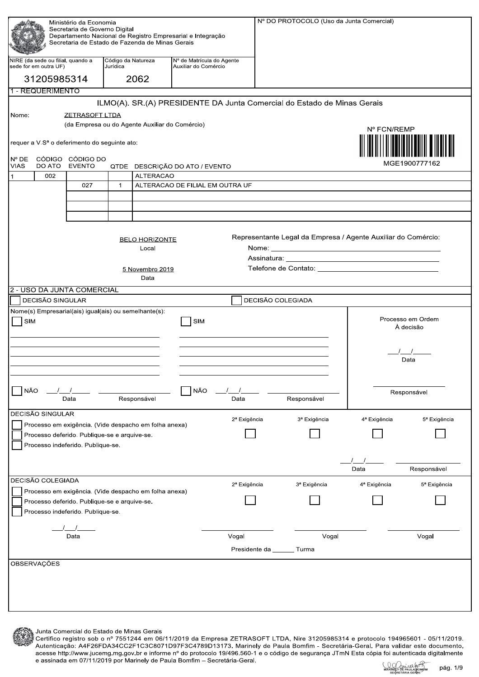| Ministério da Economia                                                                      |                                                            |                                                       |                                |                                                       |                                                   |                          |                                                                         | Nº DO PROTOCOLO (Uso da Junta Comercial)                      |                                |
|---------------------------------------------------------------------------------------------|------------------------------------------------------------|-------------------------------------------------------|--------------------------------|-------------------------------------------------------|---------------------------------------------------|--------------------------|-------------------------------------------------------------------------|---------------------------------------------------------------|--------------------------------|
| Secretaria de Governo Digital<br>Departamento Nacional de Registro Empresarial e Integração |                                                            |                                                       |                                |                                                       |                                                   |                          |                                                                         |                                                               |                                |
|                                                                                             | Secretaria de Estado de Fazenda de Minas Gerais            |                                                       |                                |                                                       |                                                   |                          |                                                                         |                                                               |                                |
|                                                                                             |                                                            |                                                       |                                |                                                       |                                                   |                          |                                                                         |                                                               |                                |
|                                                                                             | NIRE (da sede ou filial, quando a<br>sede for em outra UF) |                                                       | Código da Natureza<br>Jurídica |                                                       | Nº de Matrícula do Agente<br>Auxiliar do Comércio |                          |                                                                         |                                                               |                                |
|                                                                                             | 31205985314                                                |                                                       |                                | 2062                                                  |                                                   |                          |                                                                         |                                                               |                                |
|                                                                                             |                                                            |                                                       |                                |                                                       |                                                   |                          |                                                                         |                                                               |                                |
|                                                                                             | 1 - REQUERIMENTO                                           |                                                       |                                |                                                       |                                                   |                          |                                                                         |                                                               |                                |
|                                                                                             |                                                            |                                                       |                                |                                                       |                                                   |                          | ILMO(A). SR.(A) PRESIDENTE DA Junta Comercial do Estado de Minas Gerais |                                                               |                                |
| Nome:                                                                                       |                                                            | <b>ZETRASOFT LTDA</b>                                 |                                |                                                       |                                                   |                          |                                                                         |                                                               |                                |
|                                                                                             |                                                            |                                                       |                                | (da Empresa ou do Agente Auxiliar do Comércio)        |                                                   |                          |                                                                         | Nº FCN/REMP                                                   |                                |
|                                                                                             |                                                            |                                                       |                                |                                                       |                                                   |                          |                                                                         |                                                               |                                |
|                                                                                             |                                                            | requer a V.Sª o deferimento do seguinte ato:          |                                |                                                       |                                                   |                          |                                                                         |                                                               |                                |
| $N^{\circ}$ DE                                                                              |                                                            | CÓDIGO CÓDIGO DO                                      |                                |                                                       |                                                   |                          |                                                                         |                                                               |                                |
| <b>VIAS</b>                                                                                 | DO ATO                                                     | <b>EVENTO</b>                                         |                                |                                                       | QTDE DESCRIÇÃO DO ATO / EVENTO                    |                          |                                                                         |                                                               | MGE1900777162                  |
| $\vert$ 1                                                                                   | 002                                                        |                                                       |                                | <b>ALTERACAO</b>                                      |                                                   |                          |                                                                         |                                                               |                                |
|                                                                                             |                                                            | 027                                                   | $\mathbf{1}$                   |                                                       | ALTERACAO DE FILIAL EM OUTRA UF                   |                          |                                                                         |                                                               |                                |
|                                                                                             |                                                            |                                                       |                                |                                                       |                                                   |                          |                                                                         |                                                               |                                |
|                                                                                             |                                                            |                                                       |                                |                                                       |                                                   |                          |                                                                         |                                                               |                                |
|                                                                                             |                                                            |                                                       |                                |                                                       |                                                   |                          |                                                                         |                                                               |                                |
|                                                                                             |                                                            |                                                       |                                |                                                       |                                                   |                          |                                                                         |                                                               |                                |
|                                                                                             |                                                            |                                                       |                                | <b>BELO HORIZONTE</b>                                 |                                                   |                          |                                                                         | Representante Legal da Empresa / Agente Auxiliar do Comércio: |                                |
|                                                                                             |                                                            |                                                       |                                | Local                                                 |                                                   |                          |                                                                         |                                                               |                                |
|                                                                                             |                                                            |                                                       |                                |                                                       |                                                   |                          |                                                                         |                                                               |                                |
|                                                                                             |                                                            |                                                       |                                | 5 Novembro 2019                                       |                                                   |                          |                                                                         |                                                               |                                |
|                                                                                             |                                                            |                                                       |                                | Data                                                  |                                                   |                          |                                                                         |                                                               |                                |
|                                                                                             |                                                            | 2 - USO DA JUNTA COMERCIAL                            |                                |                                                       |                                                   |                          |                                                                         |                                                               |                                |
|                                                                                             | DECISÃO SINGULAR                                           |                                                       |                                |                                                       |                                                   |                          | DECISÃO COLEGIADA                                                       |                                                               |                                |
|                                                                                             |                                                            | Nome(s) Empresarial(ais) igual(ais) ou semelhante(s): |                                |                                                       |                                                   |                          |                                                                         |                                                               |                                |
| SIM                                                                                         |                                                            |                                                       |                                |                                                       | SIM                                               |                          |                                                                         |                                                               | Processo em Ordem<br>À decisão |
|                                                                                             |                                                            |                                                       |                                |                                                       |                                                   |                          |                                                                         |                                                               |                                |
|                                                                                             |                                                            |                                                       |                                |                                                       |                                                   |                          |                                                                         |                                                               |                                |
|                                                                                             |                                                            |                                                       |                                |                                                       |                                                   |                          |                                                                         |                                                               |                                |
|                                                                                             |                                                            |                                                       |                                |                                                       |                                                   |                          |                                                                         |                                                               | Data                           |
|                                                                                             |                                                            |                                                       |                                |                                                       |                                                   |                          |                                                                         |                                                               |                                |
|                                                                                             |                                                            |                                                       |                                |                                                       |                                                   |                          |                                                                         |                                                               |                                |
| NÃO<br>NÃO<br>Responsável<br>Data                                                           |                                                            |                                                       |                                | Data                                                  | Responsável                                       |                          | Responsável                                                             |                                                               |                                |
|                                                                                             |                                                            |                                                       |                                |                                                       |                                                   |                          |                                                                         |                                                               |                                |
|                                                                                             | DECISÃO SINGULAR                                           |                                                       |                                |                                                       |                                                   | 2 <sup>ª</sup> Exigência | 3ª Exigência                                                            | 4 <sup>ª</sup> Exigência                                      | 5 <sup>ª</sup> Exigência       |
|                                                                                             |                                                            |                                                       |                                | Processo em exigência. (Vide despacho em folha anexa) |                                                   |                          |                                                                         |                                                               |                                |
|                                                                                             |                                                            | Processo deferido. Publique-se e arquive-se.          |                                |                                                       |                                                   |                          |                                                                         |                                                               |                                |
|                                                                                             |                                                            | Processo indeferido. Publique-se.                     |                                |                                                       |                                                   |                          |                                                                         |                                                               |                                |
|                                                                                             |                                                            |                                                       |                                |                                                       |                                                   |                          |                                                                         |                                                               |                                |
|                                                                                             |                                                            |                                                       |                                |                                                       |                                                   |                          |                                                                         | Data                                                          | Responsável                    |
|                                                                                             | DECISÃO COLEGIADA                                          |                                                       |                                |                                                       |                                                   |                          |                                                                         |                                                               |                                |
| Processo em exigência. (Vide despacho em folha anexa)                                       |                                                            |                                                       |                                | 2 <sup>ª</sup> Exigência                              | 3ª Exigência                                      | 4 <sup>ª</sup> Exigência | 5 <sup>ª</sup> Exigência                                                |                                                               |                                |
| Processo deferido. Publique-se e arquive-se.                                                |                                                            |                                                       |                                |                                                       |                                                   |                          |                                                                         |                                                               |                                |
|                                                                                             | Processo indeferido. Publique-se.                          |                                                       |                                |                                                       |                                                   |                          |                                                                         |                                                               |                                |
|                                                                                             |                                                            |                                                       |                                |                                                       |                                                   |                          |                                                                         |                                                               |                                |
|                                                                                             |                                                            |                                                       |                                |                                                       |                                                   |                          |                                                                         |                                                               |                                |
|                                                                                             |                                                            | Data                                                  |                                |                                                       |                                                   | Vogal                    |                                                                         | Vogal                                                         | Vogal                          |
|                                                                                             |                                                            |                                                       |                                |                                                       |                                                   |                          | Presidente da ______ Turma                                              |                                                               |                                |
|                                                                                             | OBSERVAÇÕES                                                |                                                       |                                |                                                       |                                                   |                          |                                                                         |                                                               |                                |
|                                                                                             |                                                            |                                                       |                                |                                                       |                                                   |                          |                                                                         |                                                               |                                |
|                                                                                             |                                                            |                                                       |                                |                                                       |                                                   |                          |                                                                         |                                                               |                                |
|                                                                                             |                                                            |                                                       |                                |                                                       |                                                   |                          |                                                                         |                                                               |                                |
|                                                                                             |                                                            |                                                       |                                |                                                       |                                                   |                          |                                                                         |                                                               |                                |
|                                                                                             |                                                            |                                                       |                                |                                                       |                                                   |                          |                                                                         |                                                               |                                |
|                                                                                             |                                                            |                                                       |                                |                                                       |                                                   |                          |                                                                         |                                                               |                                |

Junta Comercial do Estado de Minas Gerais

Certifico registro sob o nº 7551244 em 06/11/2019 da Empresa ZETRASOFT LTDA, Nire 31205985314 e protocolo 194965601 - 05/11/2019. Autenticação: A4F26FDA34CC2F1C3C8071D97F3C4789D13173. Marinely de Paula Bomfim - Secretária-Geral. Para validar este documento,<br>acesse http://www.jucemg.mg.gov.br e informe nº do protocolo 19/496.560-1 e o código de segura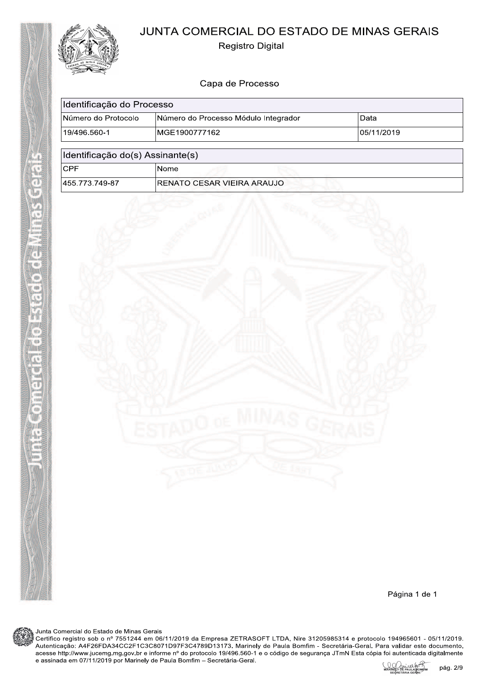

ē

**THE** 

ū Allo s

# JUNTA COMERCIAL DO ESTADO DE MINAS GERAIS

**Registro Digital** 

# Capa de Processo

| Identificação do Processo                     |                                      |             |
|-----------------------------------------------|--------------------------------------|-------------|
| Número do Protocolo                           | Número do Processo Módulo Integrador | Data        |
| 19/496.560-1                                  | MGE1900777162                        | 105/11/2019 |
| Identificação do(s) Assinante(s)              |                                      |             |
| <b>CPF</b>                                    | Nome                                 |             |
| 455.773.749-87<br>IRENATO CESAR VIEIRA ARAUJO |                                      |             |



Página 1 de 1

Junta Comercial do Estado de Minas Gerais

Certifico registro sob o nº 7551244 em 06/11/2019 da Empresa ZETRASOFT LTDA, Nire 31205985314 e protocolo 194965601 - 05/11/2019. Autenticação: A4F26FDA34CC2F1C3C8071D97F3C4789D13173. Marinely de Paula Bomfim - Secretária-Geral. Para validar este documento,<br>acesse http://www.jucemg.mg.gov.br e informe nº do protocolo 19/496.560-1 e o código de segura pág. 2/9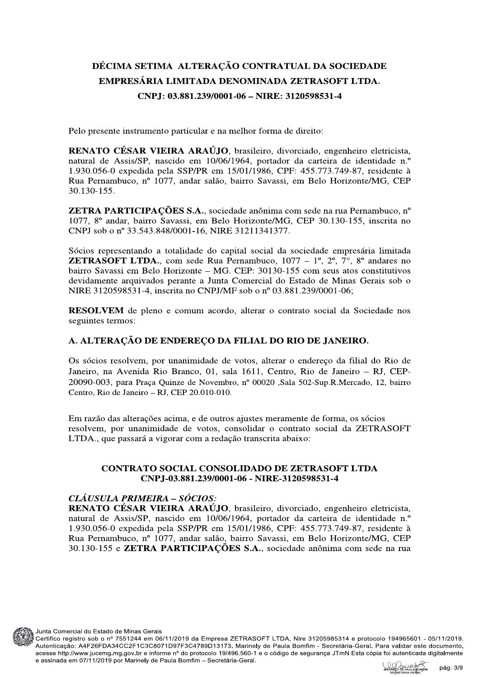# DÉCIMA SETIMA ALTERAÇÃO CONTRATUAL DA SOCIEDADE EMPRESÁRIA LIMITADA DENOMINADA ZETRASOFT LTDA. CNP.I: 03.881.239/0001-06 - NIRE: 3120598531-4

Pelo presente instrumento particular e na melhor forma de direito:

RENATO CÉSAR VIEIRA ARAÚJO, brasileiro, divorciado, engenheiro eletricista, natural de Assis/SP, nascido em 10/06/1964, portador da carteira de identidade n.º 1.930.056-0 expedida pela SSP/PR em 15/01/1986, CPF: 455.773.749-87, residente à Rua Pernambuco, nº 1077, andar salão, bairro Savassi, em Belo Horizonte/MG, CEP 30.130-155.

**ZETRA PARTICIPAÇÕES S.A.**, sociedade anônima com sede na rua Pernambuco, n° 1077, 8° andar, bairro Savassi, em Belo Horizonte/MG, CEP 30.130-155, inscrita no CNPJ sob o nº 33.543.848/0001-16, NIRE 31211341377.

Sócios representando a totalidade do capital social da sociedade empresária limitada **ZETRASOFT LTDA.**, com sede Rua Pernambuco,  $1077 - 1^{\circ}$ ,  $2^{\circ}$ ,  $7^{\circ}$ ,  $8^{\circ}$  and are sno bairro Savassi em Belo Horizonte – MG. CEP: 30130-155 com seus atos constitutivos devidamente arquivados perante a Junta Comercial do Estado de Minas Gerais sob o NIRE 3120598531-4, inscrita no CNPJ/MF sob o nº 03.881.239/0001-06;

RESOLVEM de pleno e comum acordo, alterar o contrato social da Sociedade nos seguintes termos:

#### A. ALTERACÃO DE ENDERECO DA FILIAL DO RIO DE JANEIRO.

Os sócios resolvem, por unanimidade de votos, alterar o endereco da filial do Rio de Janeiro, na Avenida Rio Branco, 01, sala 1611, Centro, Rio de Janeiro - RJ, CEP-20090-003, para Praça Quinze de Novembro, nº 00020 ,Sala 502-Sup.R.Mercado, 12, bairro Centro, Rio de Janeiro - RJ, CEP 20.010-010.

Em razão das alterações acima, e de outros ajustes meramente de forma, os sócios resolvem, por unanimidade de votos, consolidar o contrato social da ZETRASOFT LTDA, que passará a vigorar com a redação transcrita abaixo:

#### **CONTRATO SOCIAL CONSOLIDADO DE ZETRASOFT LTDA** CNP.I-03.881.239/0001-06 - NIRE-3120598531-4

#### CLÁUSULA PRIMEIRA - SÓCIOS:

RENATO CÉSAR VIEIRA ARAÚJO, brasileiro, divorciado, engenheiro eletricista, natural de Assis/SP, nascido em 10/06/1964, portador da carteira de identidade n.º 1.930.056-0 expedida pela SSP/PR em 15/01/1986, CPF: 455.773.749-87, residente à Rua Pernambuco, nº 1077, andar salão, bairro Savassi, em Belo Horizonte/MG, CEP 30.130-155 e **ZETRA PARTICIPAÇÕES S.A.**, sociedade anônima com sede na rua



Junta Comercial do Estado de Minas Gerais

Certifico registro sob o nº 7551244 em 06/11/2019 da Empresa ZETRASOFT LTDA, Nire 31205985314 e protocolo 194965601 - 05/11/2019. Autenticação: A4F26FDA34CC2F1C3C8071D97F3C4789D13173. Marinely de Paula Bomfim - Secretária-Geral. Para validar este documento, acesse http://www.jucemg.mg.gov.br e informe nº do protocolo 19/496.560-1 e o código de segurança JTmN Esta cópia foi autenticada digitalmente e assinada em 07/11/2019 por Marinely de Paula Bomfim - Secretária-Geral. pág. 3/9

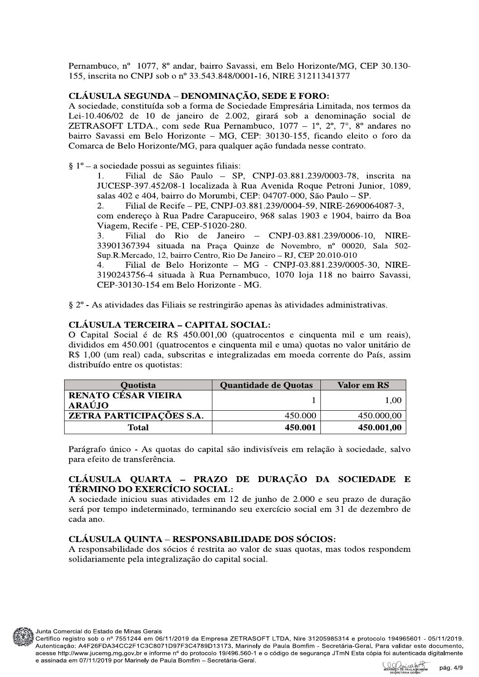Pernambuco, nº 1077, 8º andar, bairro Savassi, em Belo Horizonte/MG, CEP 30.130-155, inscrita no CNPJ sob o nº 33.543.848/0001-16, NIRE 31211341377

## CLÁUSULA SEGUNDA - DENOMINACÃO, SEDE E FORO:

A sociedade, constituída sob a forma de Sociedade Empresária Limitada, nos termos da Lei-10.406/02 de 10 de janeiro de 2.002, girará sob a denominação social de ZETRASOFT LTDA., com sede Rua Pernambuco,  $1077 - 1^\circ$ ,  $2^\circ$ ,  $7^\circ$ ,  $8^\circ$  and area no bairro Savassi em Belo Horizonte - MG, CEP: 30130-155, ficando eleito o foro da Comarca de Belo Horizonte/MG, para qualquer ação fundada nesse contrato.

 $\S 1^{\circ}$  – a sociedade possui as seguintes filiais:

Filial de São Paulo - SP, CNPJ-03.881.239/0003-78, inscrita na  $1<sub>1</sub>$ JUCESP-397.452/08-1 localizada à Rua Avenida Roque Petroni Junior, 1089, salas 402 e 404, bairro do Morumbi, CEP: 04707-000, São Paulo - SP.

2. Filial de Recife – PE, CNPJ-03.881.239/0004-59, NIRE-2690064087-3, com endereço à Rua Padre Carapuceiro, 968 salas 1903 e 1904, bairro da Boa Viagem, Recife - PE, CEP-51020-280.

 $3.$ do Rio de Janeiro  $-$  CNPJ-03.881.239/0006-10, NIRE-Filial 33901367394 situada na Praca Quinze de Novembro, nº 00020, Sala 502-Sup.R.Mercado, 12, bairro Centro, Rio De Janeiro - RJ, CEP 20.010-010

Filial de Belo Horizonte - MG - CNPJ-03.881.239/0005-30, NIRE-4. 3190243756-4 situada à Rua Pernambuco, 1070 loja 118 no bairro Savassi, CEP-30130-154 em Belo Horizonte - MG.

§ 2° - As atividades das Filiais se restringirão apenas às atividades administrativas.

#### **CLÁUSULA TERCEIRA – CAPITAL SOCIAL:**

O Capital Social é de R\$ 450.001,00 (quatrocentos e cinquenta mil e um reais), divididos em 450.001 (quatrocentos e cinquenta mil e uma) quotas no valor unitário de R\$ 1,00 (um real) cada, subscritas e integralizadas em moeda corrente do País, assim distribuído entre os quotistas:

| Quotista                                    | Quantidade de Quotas | Valor em RS |
|---------------------------------------------|----------------------|-------------|
| <b>RENATO CÉSAR VIEIRA</b><br><b>ARAÚJO</b> |                      | .00         |
| ZETRA PARTICIPAÇÕES S.A.                    | 450.000              | 450.000,00  |
| Total                                       | 450.001              | 450.001,00  |

Parágrafo único - As quotas do capital são indivisíveis em relação à sociedade, salvo para efeito de transferência.

#### CLÁUSULA QUARTA - PRAZO DE DURAÇÃO DA SOCIEDADE E TÉRMINO DO EXERCÍCIO SOCIAL:

A sociedade iniciou suas atividades em 12 de junho de 2.000 e seu prazo de duração será por tempo indeterminado, terminando seu exercício social em 31 de dezembro de cada ano.

#### **CLÁUSULA QUINTA – RESPONSABILIDADE DOS SÓCIOS:**

A responsabilidade dos sócios é restrita ao valor de suas quotas, mas todos respondem solidariamente pela integralização do capital social.



Junta Comercial do Estado de Minas Gerais

Certifico registro sob o nº 7551244 em 06/11/2019 da Empresa ZETRASOFT LTDA, Nire 31205985314 e protocolo 194965601 - 05/11/2019. Autenticação: A4F26FDA34CC2F1C3C8071D97F3C4789D13173. Marinely de Paula Bomfim - Secretária-Geral. Para validar este documento, acesse http://www.jucemg.mg.gov.br e informe nº do protocolo 19/496.560-1 e o código de segurança JTmN Esta cópia foi autenticada digitalmente e assinada em 07/11/2019 por Marinely de Paula Bomfim - Secretária-Geral.

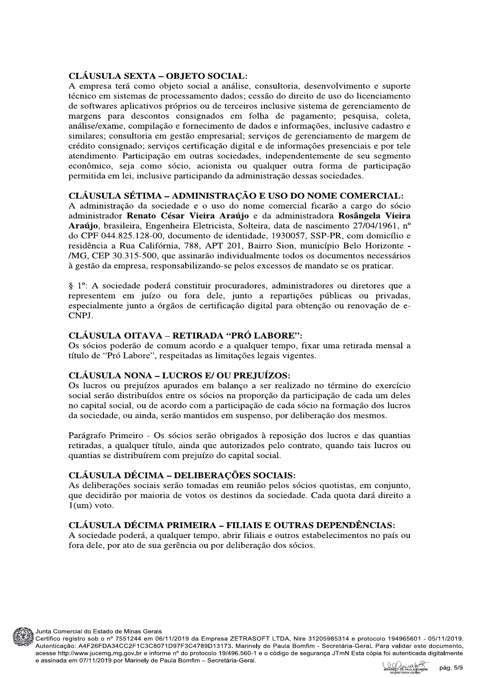#### **CLÁUSULA SEXTA – OBJETO SOCIAL:**

A empresa terá como objeto social a análise, consultoria, desenvolvimento e suporte técnico em sistemas de processamento dados; cessão do direito de uso do licenciamento de softwares aplicativos próprios ou de terceiros inclusive sistema de gerenciamento de margens para descontos consignados em folha de pagamento; pesquisa, coleta, análise/exame, compilação e fornecimento de dados e informações, inclusive cadastro e similares; consultoria em gestão empresarial; serviços de gerenciamento de margem de crédito consignado; serviços certificação digital e de informações presenciais e por tele atendimento. Participação em outras sociedades, independentemente de seu segmento econômico, seja como sócio, acionista ou qualquer outra forma de participação permitida em lei, inclusive participando da administração dessas sociedades.

#### CLÁUSULA SÉTIMA – ADMINISTRAÇÃO E USO DO NOME COMERCIAL:

A administração da sociedade e o uso do nome comercial ficarão a cargo do sócio administrador Renato César Vieira Araújo e da administradora Rosângela Vieira Araújo, brasileira, Engenheira Eletricista, Solteira, data de nascimento 27/04/1961, nº do CPF 044.825.128-00, documento de identidade, 1930057, SSP-PR, com domicílio e residência a Rua Califórnia, 788, APT 201, Bairro Sion, município Belo Horizonte -/MG, CEP 30.315-500, que assinarão individualmente todos os documentos necessários à gestão da empresa, responsabilizando-se pelos excessos de mandato se os praticar.

§ 1°: A sociedade poderá constituir procuradores, administradores ou diretores que a representem em juízo ou fora dele, junto a repartições públicas ou privadas, especialmente junto a órgãos de certificação digital para obtenção ou renovação de e-CNPJ.

## **CLÁUSULA OITAVA – RETIRADA "PRÓ LABORE":**

Os sócios poderão de comum acordo e a qualquer tempo, fixar uma retirada mensal a título de "Pró Labore", respeitadas as limitações legais vigentes.

#### **CLÁUSULA NONA – LUCROS E/ OU PREJUÍZOS:**

Os lucros ou prejuízos apurados em balanço a ser realizado no término do exercício social serão distribuídos entre os sócios na proporção da participação de cada um deles no capital social, ou de acordo com a participação de cada sócio na formação dos lucros da sociedade, ou ainda, serão mantidos em suspenso, por deliberação dos mesmos.

Parágrafo Primeiro - Os sócios serão obrigados à reposição dos lucros e das quantias retiradas, a qualquer título, ainda que autorizados pelo contrato, quando tais lucros ou quantias se distribuírem com prejuízo do capital social.

# **CLÁUSULA DÉCIMA – DELIBERAÇÕES SOCIAIS:**

As deliberações sociais serão tomadas em reunião pelos sócios quotistas, em conjunto, que decidirão por maioria de votos os destinos da sociedade. Cada quota dará direito a  $1$ (um) voto.

# CLÁUSULA DÉCIMA PRIMEIRA – FILIAIS E OUTRAS DEPENDÊNCIAS:

A sociedade poderá, a qualquer tempo, abrir filiais e outros estabelecimentos no país ou fora dele, por ato de sua gerência ou por deliberação dos sócios.



Certifico registro sob o nº 7551244 em 06/11/2019 da Empresa ZETRASOFT LTDA, Nire 31205985314 e protocolo 194965601 - 05/11/2019. Autenticação: A4F26FDA34CC2F1C3C8071D97F3C4789D13173. Marinely de Paula Bomfim - Secretária-Geral. Para validar este documento, acesse http://www.jucemg.mg.gov.br e informe nº do protocolo 19/496.560-1 e o código de segurança JTmN Esta cópia foi autenticada digitalmente e assinada em 07/11/2019 por Marinely de Paula Bomfim - Secretária-Geral.



pág. 5/9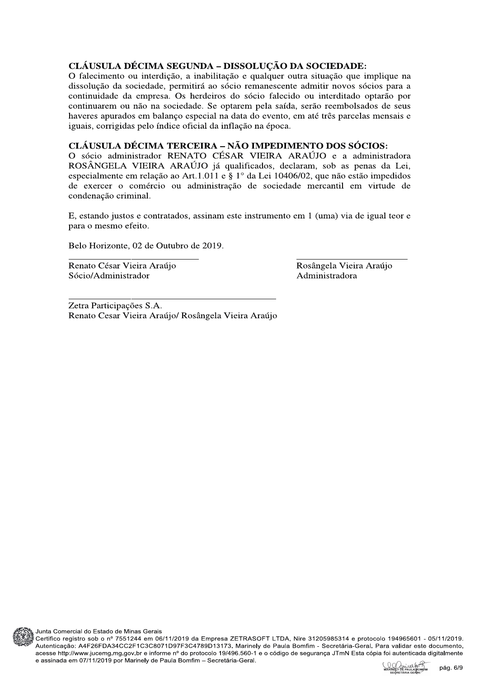## CLÁUSULA DÉCIMA SEGUNDA – DISSOLUÇÃO DA SOCIEDADE:

O falecimento ou interdição, a inabilitação e qualquer outra situação que implique na dissolução da sociedade, permitirá ao sócio remanescente admitir novos sócios para a continuidade da empresa. Os herdeiros do sócio falecido ou interditado optarão por continuarem ou não na sociedade. Se optarem pela saída, serão reembolsados de seus haveres apurados em balanço especial na data do evento, em até três parcelas mensais e iguais, corrigidas pelo índice oficial da inflação na época.

# CLÁUSULA DÉCIMA TERCEIRA - NÃO IMPEDIMENTO DOS SÓCIOS:

O sócio administrador RENATO CÉSAR VIEIRA ARAÚJO e a administradora ROSÂNGELA VIEIRA ARAÚJO já qualificados, declaram, sob as penas da Lei, especialmente em relação ao Art.1.011 e § 1° da Lei 10406/02, que não estão impedidos de exercer o comércio ou administração de sociedade mercantil em virtude de condenação criminal.

E, estando justos e contratados, assinam este instrumento em 1 (uma) via de igual teor e para o mesmo efeito.

Belo Horizonte, 02 de Outubro de 2019.

Renato César Vieira Araújo Sócio/Administrador

Rosângela Vieira Araújo Administradora

Zetra Participações S.A. Renato Cesar Vieira Araújo/ Rosângela Vieira Araújo



Junta Comercial do Estado de Minas Gerais

Certifico registro sob o nº 7551244 em 06/11/2019 da Empresa ZETRASOFT LTDA, Nire 31205985314 e protocolo 194965601 - 05/11/2019. Autenticação: A4F26FDA34CC2F1C3C8071D97F3C4789D13173. Marinely de Paula Bomfim - Secretária-Geral. Para validar este documento, acesse http://www.jucemg.mg.gov.br e informe nº do protocolo 19/496.560-1 e o código de segurança JTmN Esta cópia foi autenticada digitalmente e assinada em 07/11/2019 por Marinely de Paula Bomfim - Secretária-Geral.

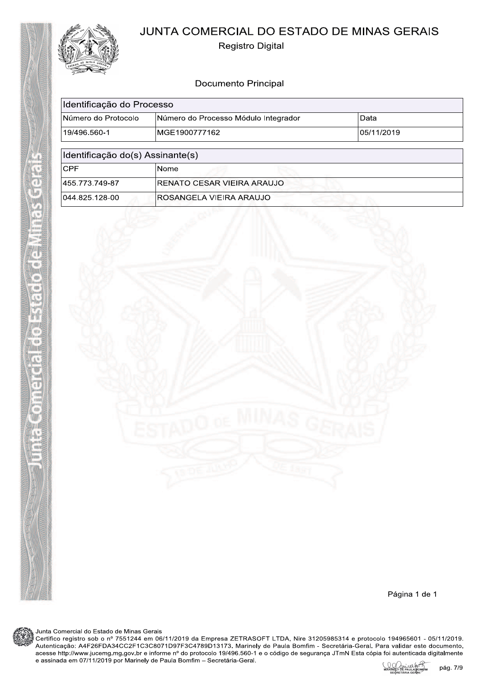



**Registro Digital** 

# **Documento Principal**

| Identificação do Processo        |                                      |             |  |  |
|----------------------------------|--------------------------------------|-------------|--|--|
| Número do Protocolo              | Número do Processo Módulo Integrador | Data        |  |  |
| 19/496.560-1                     | MGE1900777162                        | 105/11/2019 |  |  |
| Identificação do(s) Assinante(s) |                                      |             |  |  |
| <b>CPF</b>                       | Nome                                 |             |  |  |
| 455.773.749-87                   | RENATO CESAR VIEIRA ARAUJO           |             |  |  |
| 044.825.128-00                   | ROSANGELA VIEIRA ARAUJO              |             |  |  |



Junta Comercial do Estado de Minas Gerais

Certifico registro sob o nº 7551244 em 06/11/2019 da Empresa ZETRASOFT LTDA, Nire 31205985314 e protocolo 194965601 - 05/11/2019. Autenticação: A4F26FDA34CC2F1C3C8071D97F3C4789D13173. Marinely de Paula Bomfim - Secretária-Geral. Para validar este documento,<br>acesse http://www.jucemg.mg.gov.br e informe nº do protocolo 19/496.560-1 e o código de segur

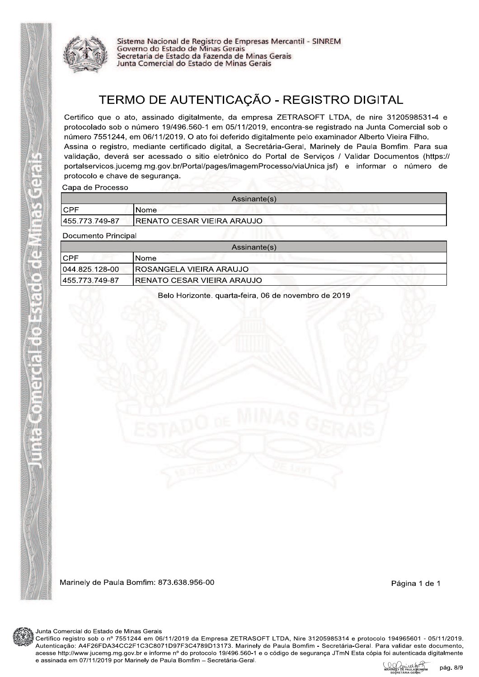

Sistema Nacional de Registro de Empresas Mercantil - SINREM<br>Governo do Estado de Minas Gerais Secretaria de Estado da Fazenda de Minas Gerais Junta Comercial do Estado de Minas Gerais

# TERMO DE AUTENTICAÇÃO - REGISTRO DIGITAL

Certifico que o ato, assinado digitalmente, da empresa ZETRASOFT LTDA, de nire 3120598531-4 e protocolado sob o número 19/496.560-1 em 05/11/2019, encontra-se registrado na Junta Comercial sob o número 7551244, em 06/11/2019. O ato foi deferido digitalmente pelo examinador Alberto Vieira Filho. Assina o registro, mediante certificado digital, a Secretária-Geral, Marinely de Paula Bomfim. Para sua validação, deverá ser acessado o sitio eletrônico do Portal de Serviços / Validar Documentos (https:// portalservicos.jucemg.mg.gov.br/Portal/pages/imagemProcesso/viaUnica.jsf) e informar o número de protocolo e chave de segurança.

Capa de Processo

| Assinante(s)   |                                    |  |  |
|----------------|------------------------------------|--|--|
| <b>CPF</b>     | !Nome⊹                             |  |  |
| 455.773.749-87 | <b>IRENATO CESAR VIEIRA ARAUJO</b> |  |  |

**Documento Principal** 

 $\overline{a}$ 

| Assinante(s)    |                                    |  |  |
|-----------------|------------------------------------|--|--|
| ICPF            | Nome                               |  |  |
| 1044.825.128-00 | IROSANGELA VIEIRA ARAUJO           |  |  |
| 1455.773.749-87 | <b>IRENATO CESAR VIEIRA ARAUJO</b> |  |  |

Belo Horizonte, quarta-feira, 06 de novembro de 2019

Marinely de Paula Bomfim: 873.638.956-00

Página 1 de 1



Junta Comercial do Estado de Minas Gerais

Certifico registro sob o nº 7551244 em 06/11/2019 da Empresa ZETRASOFT LTDA, Nire 31205985314 e protocolo 194965601 - 05/11/2019. Autenticação: A4F26FDA34CC2F1C3C8071D97F3C4789D13173. Marinely de Paula Bomfim - Secretária-Geral. Para validar este documento, acesse http://www.jucemg.mg.gov.br e informe nº do protocolo 19/496.560-1 e o código de segurança JTmN Esta cópia foi autenticada digitalmente e assinada em 07/11/2019 por Marinely de Paula Bomfim - Secretária-Geral.